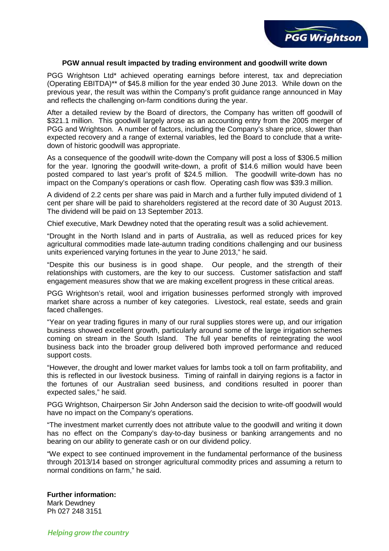

# **PGW annual result impacted by trading environment and goodwill write down**

PGG Wrightson Ltd\* achieved operating earnings before interest, tax and depreciation (Operating EBITDA)\*\* of \$45.8 million for the year ended 30 June 2013. While down on the previous year, the result was within the Company's profit guidance range announced in May and reflects the challenging on-farm conditions during the year.

After a detailed review by the Board of directors, the Company has written off goodwill of \$321.1 million. This goodwill largely arose as an accounting entry from the 2005 merger of PGG and Wrightson. A number of factors, including the Company's share price, slower than expected recovery and a range of external variables, led the Board to conclude that a writedown of historic goodwill was appropriate.

As a consequence of the goodwill write-down the Company will post a loss of \$306.5 million for the year. Ignoring the goodwill write-down, a profit of \$14.6 million would have been posted compared to last year's profit of \$24.5 million. The goodwill write-down has no impact on the Company's operations or cash flow. Operating cash flow was \$39.3 million.

A dividend of 2.2 cents per share was paid in March and a further fully imputed dividend of 1 cent per share will be paid to shareholders registered at the record date of 30 August 2013. The dividend will be paid on 13 September 2013.

Chief executive, Mark Dewdney noted that the operating result was a solid achievement.

"Drought in the North Island and in parts of Australia, as well as reduced prices for key agricultural commodities made late-autumn trading conditions challenging and our business units experienced varying fortunes in the year to June 2013," he said.

"Despite this our business is in good shape. Our people, and the strength of their relationships with customers, are the key to our success. Customer satisfaction and staff engagement measures show that we are making excellent progress in these critical areas.

PGG Wrightson's retail, wool and irrigation businesses performed strongly with improved market share across a number of key categories. Livestock, real estate, seeds and grain faced challenges.

"Year on year trading figures in many of our rural supplies stores were up, and our irrigation business showed excellent growth, particularly around some of the large irrigation schemes coming on stream in the South Island. The full year benefits of reintegrating the wool business back into the broader group delivered both improved performance and reduced support costs.

"However, the drought and lower market values for lambs took a toll on farm profitability, and this is reflected in our livestock business. Timing of rainfall in dairying regions is a factor in the fortunes of our Australian seed business, and conditions resulted in poorer than expected sales," he said.

PGG Wrightson, Chairperson Sir John Anderson said the decision to write-off goodwill would have no impact on the Company's operations.

"The investment market currently does not attribute value to the goodwill and writing it down has no effect on the Company's day-to-day business or banking arrangements and no bearing on our ability to generate cash or on our dividend policy.

"We expect to see continued improvement in the fundamental performance of the business through 2013/14 based on stronger agricultural commodity prices and assuming a return to normal conditions on farm," he said.

# **Further information:**

Mark Dewdney Ph 027 248 3151

**Helping grow the country**